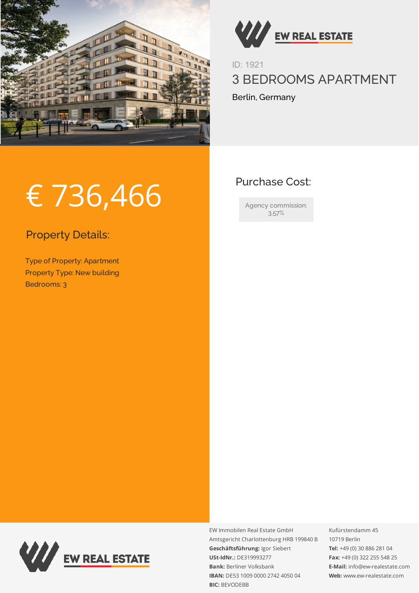



ID: 1921 3 BEDROOMS APARTMENT Berlin, Germany

## Purchase Cost:

Agency commission: 3,57%

## € 736,466

Property Details:

Type of Property: Apartment Property Type: New building Bedrooms: 3



EW Immobilen Real Estate GmbH Amtsgericht Charlottenburg HRB 199840 B **Geschäftsführung:** Igor Siebert **USt-IdNr.:** DE319993277 **Bank:** Berliner Volksbank **IBAN:** DE53 1009 0000 2742 4050 04 **BIC:** BEVODEBB

Kufürstendamm 45 10719 Berlin **Tel:** +49 (0) 30 886 281 04 **Fax:** +49 (0) 322 255 548 25 **E-Mail:** info@ew-realestate.com **Web:** www.ew-realestate.com